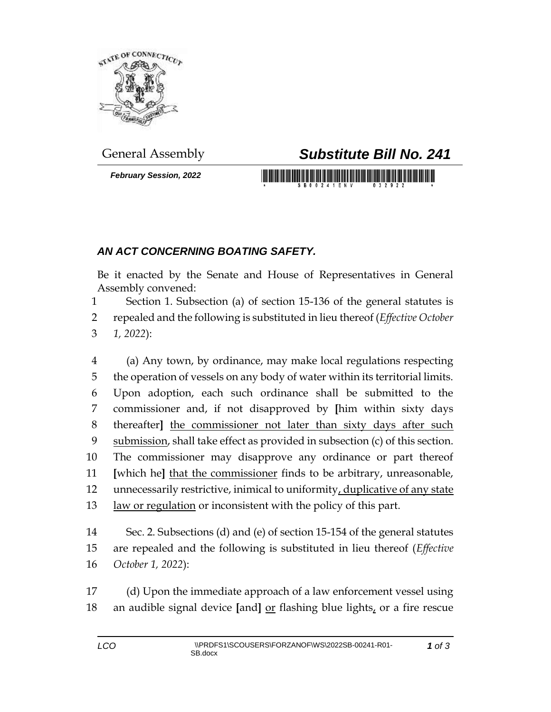

*February Session, 2022*

## General Assembly *Substitute Bill No. 241*

## *AN ACT CONCERNING BOATING SAFETY.*

Be it enacted by the Senate and House of Representatives in General Assembly convened:

 Section 1. Subsection (a) of section 15-136 of the general statutes is repealed and the following is substituted in lieu thereof (*Effective October 1, 2022*):

 (a) Any town, by ordinance, may make local regulations respecting the operation of vessels on any body of water within its territorial limits. Upon adoption, each such ordinance shall be submitted to the commissioner and, if not disapproved by **[**him within sixty days thereafter**]** the commissioner not later than sixty days after such submission, shall take effect as provided in subsection (c) of this section. The commissioner may disapprove any ordinance or part thereof **[**which he**]** that the commissioner finds to be arbitrary, unreasonable, unnecessarily restrictive, inimical to uniformity, duplicative of any state law or regulation or inconsistent with the policy of this part.

 Sec. 2. Subsections (d) and (e) of section 15-154 of the general statutes are repealed and the following is substituted in lieu thereof (*Effective October 1, 2022*):

 (d) Upon the immediate approach of a law enforcement vessel using an audible signal device **[**and**]** or flashing blue lights, or a fire rescue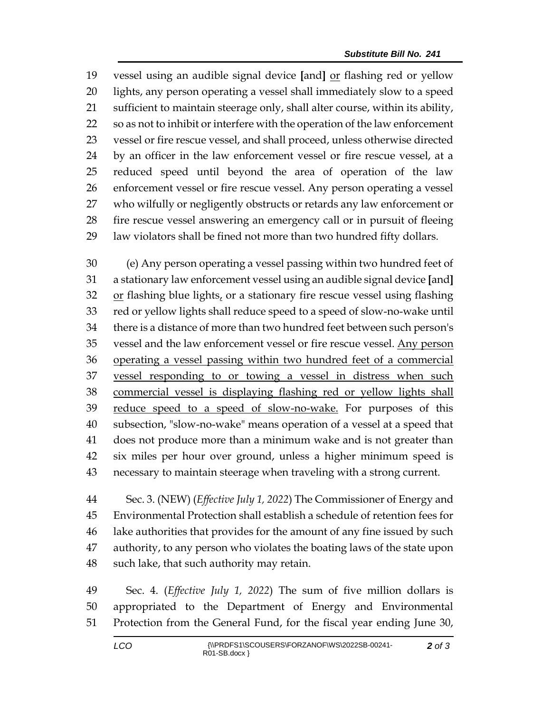19 vessel using an audible signal device [and] or flashing red or yellow lights, any person operating a vessel shall immediately slow to a speed sufficient to maintain steerage only, shall alter course, within its ability, so as not to inhibit or interfere with the operation of the law enforcement vessel or fire rescue vessel, and shall proceed, unless otherwise directed by an officer in the law enforcement vessel or fire rescue vessel, at a reduced speed until beyond the area of operation of the law enforcement vessel or fire rescue vessel. Any person operating a vessel who wilfully or negligently obstructs or retards any law enforcement or fire rescue vessel answering an emergency call or in pursuit of fleeing law violators shall be fined not more than two hundred fifty dollars.

 (e) Any person operating a vessel passing within two hundred feet of a stationary law enforcement vessel using an audible signal device **[**and**]** 32 or flashing blue lights, or a stationary fire rescue vessel using flashing red or yellow lights shall reduce speed to a speed of slow-no-wake until there is a distance of more than two hundred feet between such person's vessel and the law enforcement vessel or fire rescue vessel. Any person operating a vessel passing within two hundred feet of a commercial vessel responding to or towing a vessel in distress when such commercial vessel is displaying flashing red or yellow lights shall 39 reduce speed to a speed of slow-no-wake. For purposes of this subsection, "slow-no-wake" means operation of a vessel at a speed that does not produce more than a minimum wake and is not greater than six miles per hour over ground, unless a higher minimum speed is necessary to maintain steerage when traveling with a strong current.

 Sec. 3. (NEW) (*Effective July 1, 2022*) The Commissioner of Energy and Environmental Protection shall establish a schedule of retention fees for lake authorities that provides for the amount of any fine issued by such authority, to any person who violates the boating laws of the state upon such lake, that such authority may retain.

 Sec. 4. (*Effective July 1, 2022*) The sum of five million dollars is appropriated to the Department of Energy and Environmental Protection from the General Fund, for the fiscal year ending June 30,